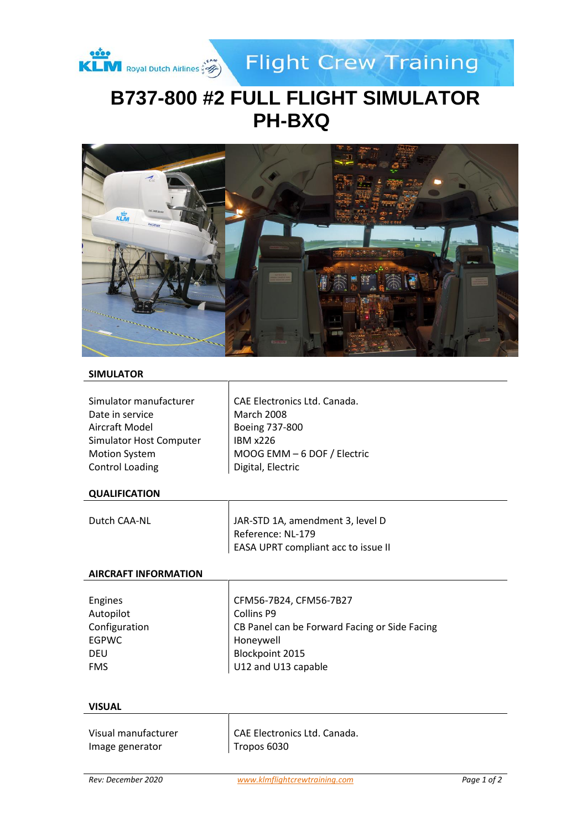

**Flight Crew Training** 

# **B737-800 #2 FULL FLIGHT SIMULATOR PH-BXQ**



## **SIMULATOR**

| Simulator manufacturer  | CAE Electronics Ltd. Canada. |
|-------------------------|------------------------------|
| Date in service         | <b>March 2008</b>            |
| Aircraft Model          | Boeing 737-800               |
| Simulator Host Computer | <b>IBM x226</b>              |
| <b>Motion System</b>    | MOOG EMM - 6 DOF / Electric  |
| <b>Control Loading</b>  | Digital, Electric            |
|                         |                              |

## **QUALIFICATION**

| Dutch CAA-NL | JAR-STD 1A, amendment 3, level D    |
|--------------|-------------------------------------|
|              | Reference: NL-179                   |
|              | EASA UPRT compliant acc to issue II |

Τ

#### **AIRCRAFT INFORMATION**

| Engines       | CFM56-7B24, CFM56-7B27                        |
|---------------|-----------------------------------------------|
| Autopilot     | Collins P9                                    |
| Configuration | CB Panel can be Forward Facing or Side Facing |
| <b>EGPWC</b>  | Honeywell                                     |
| <b>DEU</b>    | Blockpoint 2015                               |
| <b>FMS</b>    | U12 and U13 capable                           |
|               |                                               |

#### **VISUAL**

| Visual manufacturer | CAE Electronics Ltd. Canada. |
|---------------------|------------------------------|
| Image generator     | Tropos 6030                  |